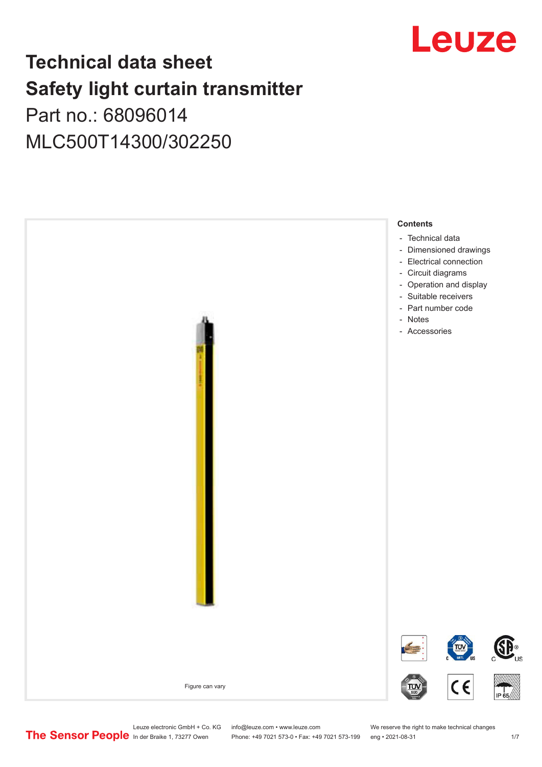

## **Technical data sheet Safety light curtain transmitter** Part no.: 68096014

MLC500T14300/302250



Leuze electronic GmbH + Co. KG info@leuze.com • www.leuze.com We reserve the right to make technical changes<br>
The Sensor People in der Braike 1, 73277 Owen Phone: +49 7021 573-0 • Fax: +49 7021 573-199 eng • 2021-08-31

Phone: +49 7021 573-0 • Fax: +49 7021 573-199 eng • 2021-08-31 1 7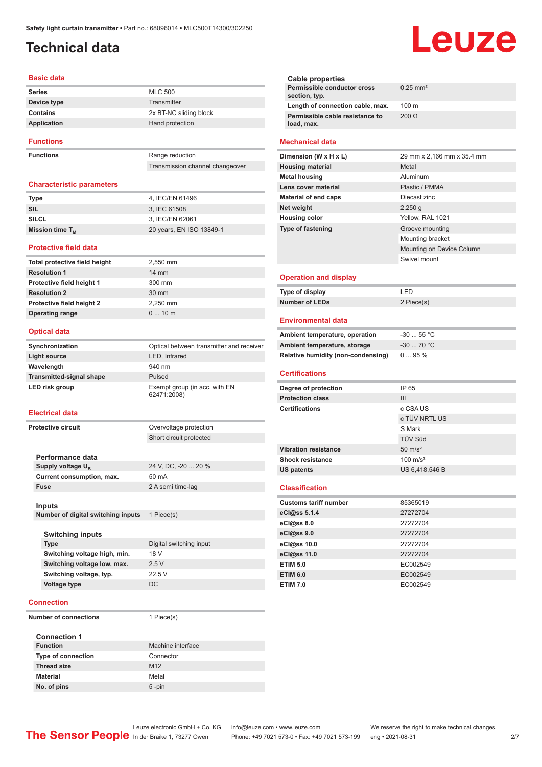## <span id="page-1-0"></span>**Technical data**

#### **Basic data**

| <b>Series</b>    | <b>MLC 500</b>         |
|------------------|------------------------|
| Device type      | Transmitter            |
| Contains         | 2x BT-NC sliding block |
| Application      | Hand protection        |
| <b>Functions</b> |                        |

**Functions** Range reduction

Transmission channel changeover

#### **Characteristic parameters**

| <b>Type</b>          | 4. IEC/EN 61496          |
|----------------------|--------------------------|
| SIL                  | 3. IEC 61508             |
| <b>SILCL</b>         | 3, IEC/EN 62061          |
| Mission time $T_{M}$ | 20 years, EN ISO 13849-1 |

#### **Protective field data**

| 2,550 mm        |
|-----------------|
| $14 \text{ mm}$ |
| 300 mm          |
| $30 \text{ mm}$ |
| 2.250 mm        |
| $010$ m         |
|                 |

#### **Optical data**

| Synchronization                 | Optical between transmitter and receiver     |
|---------------------------------|----------------------------------------------|
| Light source                    | LED, Infrared                                |
| Wavelength                      | 940 nm                                       |
| <b>Transmitted-signal shape</b> | Pulsed                                       |
| LED risk group                  | Exempt group (in acc. with EN<br>62471:2008) |

#### **Electrical data**

| <b>Protective circuit</b>          | Overvoltage protection  |
|------------------------------------|-------------------------|
|                                    | Short circuit protected |
|                                    |                         |
| Performance data                   |                         |
| Supply voltage U <sub>p</sub>      | 24 V, DC, -20  20 %     |
| Current consumption, max.          | 50 mA                   |
| <b>Fuse</b>                        | 2 A semi time-lag       |
|                                    |                         |
| <b>Inputs</b>                      |                         |
| Number of digital switching inputs | 1 Piece(s)              |

| <b>Switching inputs</b>      |                         |
|------------------------------|-------------------------|
| Type                         | Digital switching input |
| Switching voltage high, min. | 18 V                    |
| Switching voltage low, max.  | 25V                     |
| Switching voltage, typ.      | 22.5V                   |
| Voltage type                 | DC.                     |
|                              |                         |

#### **Connection**

**Number of connections** 1 Piece(s)

#### **Connection 1 Function** Machine interface **Type of connection** Connector **Thread size** M12 **Material** Metal **No. of pins** 5 -pin

# Leuze

| Cable properties                              |                        |
|-----------------------------------------------|------------------------|
| Permissible conductor cross<br>section, typ.  | $0.25$ mm <sup>2</sup> |
| Length of connection cable, max.              | $100 \text{ m}$        |
| Permissible cable resistance to<br>load, max. | 200 O                  |
|                                               |                        |

#### **Mechanical data**

| Dimension (W x H x L)    | 29 mm x 2,166 mm x 35.4 mm |
|--------------------------|----------------------------|
| <b>Housing material</b>  | Metal                      |
| <b>Metal housing</b>     | Aluminum                   |
| Lens cover material      | Plastic / PMMA             |
| Material of end caps     | Diecast zinc               |
| Net weight               | $2,250$ q                  |
| <b>Housing color</b>     | Yellow, RAL 1021           |
| <b>Type of fastening</b> | Groove mounting            |
|                          | Mounting bracket           |
|                          | Mounting on Device Column  |
|                          | Swivel mount               |
|                          |                            |

#### **Operation and display**

| Type of display       | I FD       |
|-----------------------|------------|
| <b>Number of LEDs</b> | 2 Piece(s) |

#### **Environmental data**

| Ambient temperature, operation     | $-3055$ °C |
|------------------------------------|------------|
| Ambient temperature, storage       | $-3070 °C$ |
| Relative humidity (non-condensing) | $095\%$    |

#### **Certifications**

| Degree of protection        | IP 65               |
|-----------------------------|---------------------|
| <b>Protection class</b>     | III                 |
| <b>Certifications</b>       | c CSA US            |
|                             | c TÜV NRTL US       |
|                             | S Mark              |
|                             | <b>TÜV Süd</b>      |
| <b>Vibration resistance</b> | $50 \text{ m/s}^2$  |
| <b>Shock resistance</b>     | $100 \text{ m/s}^2$ |
| US patents                  | US 6,418,546 B      |
|                             |                     |

#### **Classification**

| <b>Customs tariff number</b> | 85365019 |
|------------------------------|----------|
| eCl@ss 5.1.4                 | 27272704 |
| $eC/\omega$ ss 8.0           | 27272704 |
| eCl@ss 9.0                   | 27272704 |
| eCl@ss 10.0                  | 27272704 |
| eCl@ss 11.0                  | 27272704 |
| <b>ETIM 5.0</b>              | EC002549 |
| <b>ETIM 6.0</b>              | EC002549 |
| <b>ETIM 7.0</b>              | EC002549 |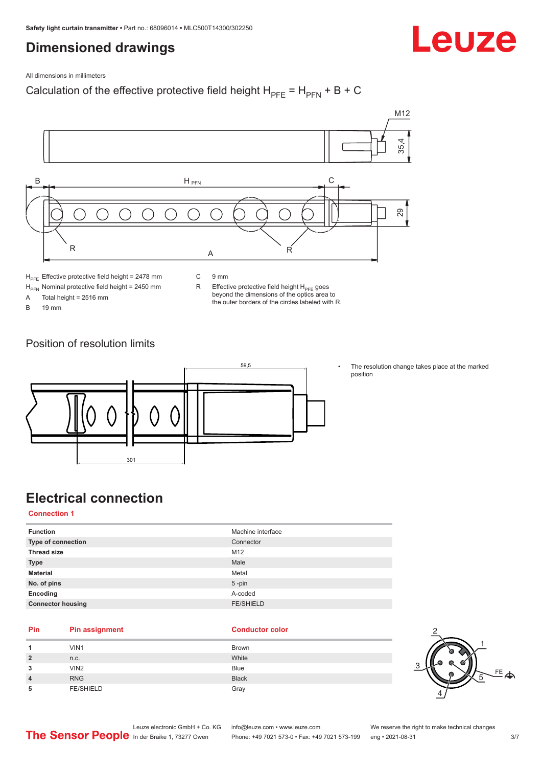### <span id="page-2-0"></span>**Dimensioned drawings**



All dimensions in millimeters

### Calculation of the effective protective field height  $H_{PFE} = H_{PFN} + B + C$



 $H<sub>PE</sub>$  Effective protective field height = 2478 mm

 $H_{\text{PFN}}$  Nominal protective field height = 2450 mm<br>A Total height = 2516 mm

Total height =  $2516$  mm

B 19 mm

C 9 mm

R Effective protective field height  $H_{PFE}$  goes beyond the dimensions of the optics area to the outer borders of the circles labeled with R.

Position of resolution limits



The resolution change takes place at the marked position

### **Electrical connection**

**Connection 1**

| <b>Function</b>          | Machine interface |
|--------------------------|-------------------|
| Type of connection       | Connector         |
| <b>Thread size</b>       | M <sub>12</sub>   |
| <b>Type</b>              | Male              |
| <b>Material</b>          | Metal             |
| No. of pins              | $5$ -pin          |
| Encoding                 | A-coded           |
| <b>Connector housing</b> | <b>FE/SHIELD</b>  |
|                          |                   |

#### **Pin Pin assignment Conductor Conductor Color**

| 4              | VIN1             | <b>Brown</b> |
|----------------|------------------|--------------|
| $\overline{2}$ | n.c.             | White        |
| 3              | VIN <sub>2</sub> | <b>Blue</b>  |
| $\overline{4}$ | <b>RNG</b>       | <b>Black</b> |
| 5              | <b>FE/SHIELD</b> | Gray         |

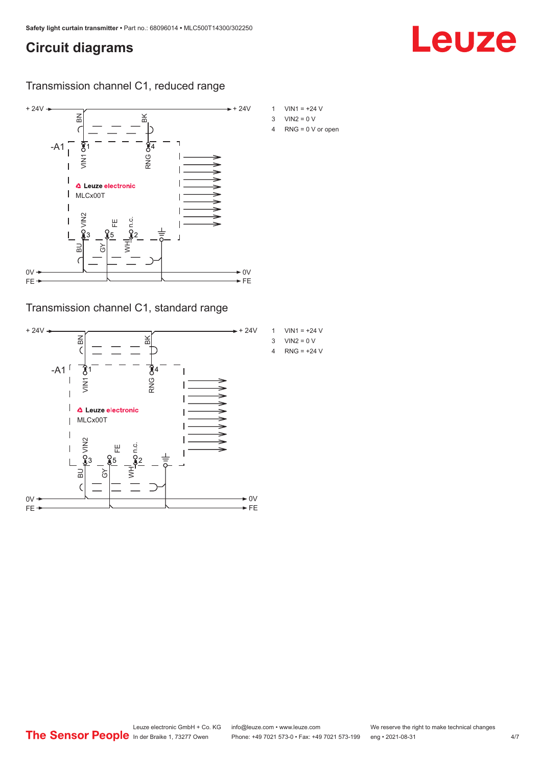### <span id="page-3-0"></span>**Circuit diagrams**

### Transmission channel C1, reduced range



Transmission channel C1, standard range



- 1  $VIN1 = +24 V$
- 4 RNG = 0 V or open

Leuze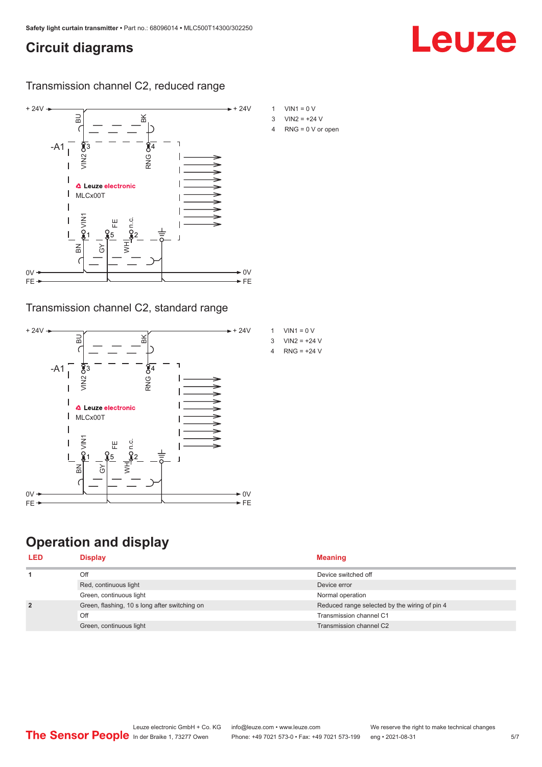### <span id="page-4-0"></span>**Circuit diagrams**

Leuze

Transmission channel C2, reduced range



### Transmission channel C2, standard range



### **Operation and display**

| <b>Display</b>                                | <b>Meaning</b>                                |
|-----------------------------------------------|-----------------------------------------------|
| Off                                           | Device switched off                           |
| Red, continuous light                         | Device error                                  |
| Green, continuous light                       | Normal operation                              |
| Green, flashing, 10 s long after switching on | Reduced range selected by the wiring of pin 4 |
| Off                                           | Transmission channel C1                       |
| Green, continuous light                       | Transmission channel C2                       |
|                                               |                                               |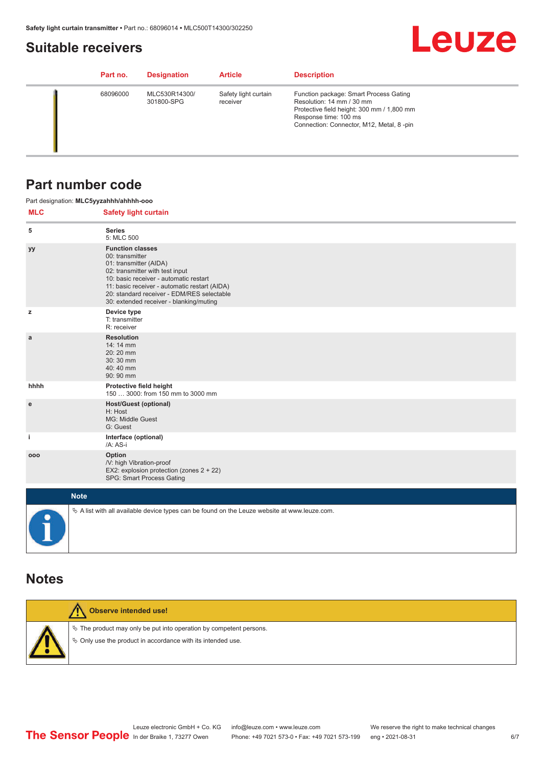### <span id="page-5-0"></span>**Suitable receivers**



| Part no. | <b>Designation</b>          | <b>Article</b>                   | <b>Description</b>                                                                                                                                                                     |
|----------|-----------------------------|----------------------------------|----------------------------------------------------------------------------------------------------------------------------------------------------------------------------------------|
| 68096000 | MLC530R14300/<br>301800-SPG | Safety light curtain<br>receiver | Function package: Smart Process Gating<br>Resolution: 14 mm / 30 mm<br>Protective field height: 300 mm / 1,800 mm<br>Response time: 100 ms<br>Connection: Connector, M12, Metal, 8-pin |

### **Part number code**

| <b>MLC</b> | Part designation: MLC5yyzahhh/ahhhh-ooo<br><b>Safety light curtain</b>                                                                                                                                                                                                                      |
|------------|---------------------------------------------------------------------------------------------------------------------------------------------------------------------------------------------------------------------------------------------------------------------------------------------|
| 5          | <b>Series</b><br>5: MLC 500                                                                                                                                                                                                                                                                 |
| yy         | <b>Function classes</b><br>00: transmitter<br>01: transmitter (AIDA)<br>02: transmitter with test input<br>10: basic receiver - automatic restart<br>11: basic receiver - automatic restart (AIDA)<br>20: standard receiver - EDM/RES selectable<br>30: extended receiver - blanking/muting |
| z          | Device type<br>T: transmitter<br>R: receiver                                                                                                                                                                                                                                                |
| a          | <b>Resolution</b><br>14:14 mm<br>20:20 mm<br>30:30 mm<br>40:40 mm<br>90: 90 mm                                                                                                                                                                                                              |
| hhhh       | Protective field height<br>150  3000: from 150 mm to 3000 mm                                                                                                                                                                                                                                |
| e          | <b>Host/Guest (optional)</b><br>H: Host<br>MG: Middle Guest<br>G: Guest                                                                                                                                                                                                                     |
| j.         | Interface (optional)<br>/A: AS-i                                                                                                                                                                                                                                                            |
| 000        | Option<br>/V: high Vibration-proof<br>EX2: explosion protection (zones 2 + 22)<br>SPG: Smart Process Gating                                                                                                                                                                                 |
|            | <b>Note</b>                                                                                                                                                                                                                                                                                 |
|            | $\&$ A list with all available device types can be found on the Leuze website at www.leuze.com.                                                                                                                                                                                             |

### **Notes**

**Observe intended use!** /!  $\%$  The product may only be put into operation by competent persons.  $\%$  Only use the product in accordance with its intended use.